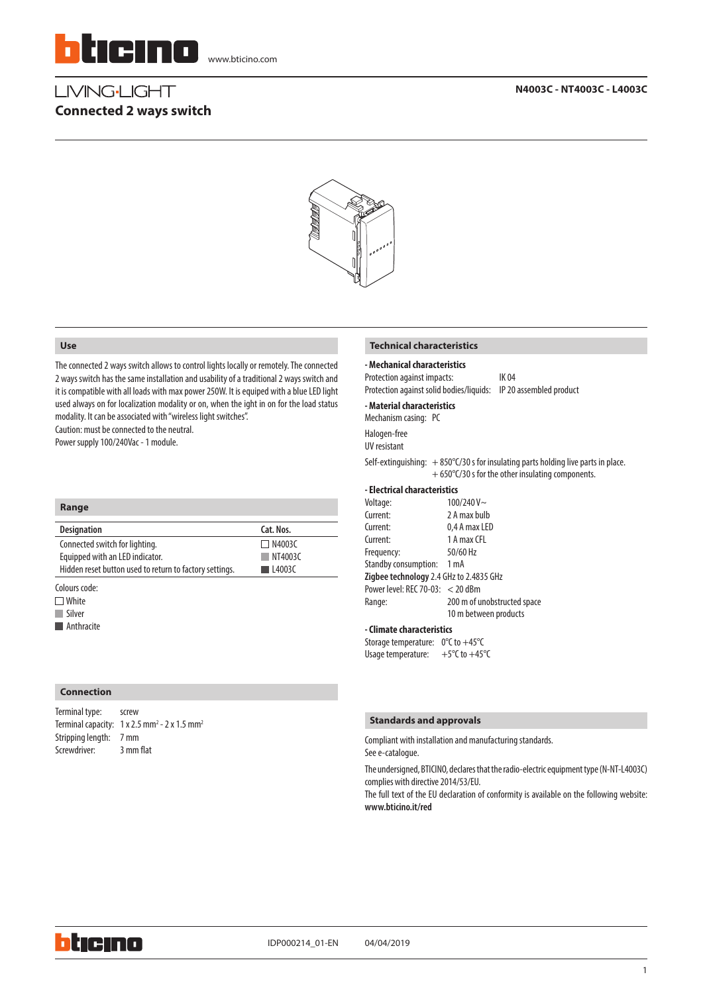

# LIVING-LIGHT **Connected 2 ways switch**



### **Use**

The connected 2 ways switch allows to control lights locally or remotely. The connected 2 ways switch has the same installation and usability of a traditional 2 ways switch and it is compatible with all loads with max power 250W. It is equiped with a blue LED light used always on for localization modality or on, when the ight in on for the load status modality. It can be associated with "wireless light switches".

Caution: must be connected to the neutral. Power supply 100/240Vac - 1 module.

| Range                                                   |               |
|---------------------------------------------------------|---------------|
| <b>Designation</b>                                      | Cat. Nos.     |
| Connected switch for lighting.                          | $\Box$ N4003C |
| Equipped with an LED indicator.                         | N14003C       |
| Hidden reset button used to return to factory settings. | l I 4003C     |

Colours code:

□ White

**Silver** 

**Anthracite** 

### **Connection**

| Terminal type:         | screw                                                                       |
|------------------------|-----------------------------------------------------------------------------|
|                        | Terminal capacity: $1 \times 2.5$ mm <sup>2</sup> - 2 x 1.5 mm <sup>2</sup> |
| Stripping length: 7 mm |                                                                             |
| Screwdriver:           | 3 mm flat                                                                   |

### **Technical characteristics**

**- Mechanical characteristics** Protection against impacts: IK 04

Protection against solid bodies/liquids: IP 20 assembled product

### **- Material characteristics**

Mechanism casing: PC Halogen-free

UV resistant

Self-extinguishing:  $+ 850^{\circ}$ C/30 s for insulating parts holding live parts in place. + 650°C/30 s for the other insulating components.

#### **- Electrical characteristics**

Voltage: 100/240 V~ Current: 2 A max bulb Current: 0,4 A max LED Current: 1 A max CFL Frequency: 50/60 Hz Standby consumption: 1 mA **Zigbee technology** 2.4 GHz to 2.4835 GHz Power level: REC 70-03: < 20 dBm Range: 200 m of unobstructed space 10 m between products

### **- Climate characteristics**

Storage temperature: 0°C to +45°C Usage temperature:  $+5^{\circ}$ C to  $+45^{\circ}$ C

### **Standards and approvals** Terminal type: screwing type: screwing type: screwing type: screwing type: screwing type: screwing type: screwing type: screwing type: screwing type: screwing type: screwing type: screwing type: s

Compliant with installation and manufacturing standards.

See e-catalogue.

The undersigned, BTICINO, declares that the radio-electric equipment type (N-NT-L4003C) complies with directive 2014/53/EU.

The full text of the EU declaration of conformity is available on the following website: **www.bticino.it/red**